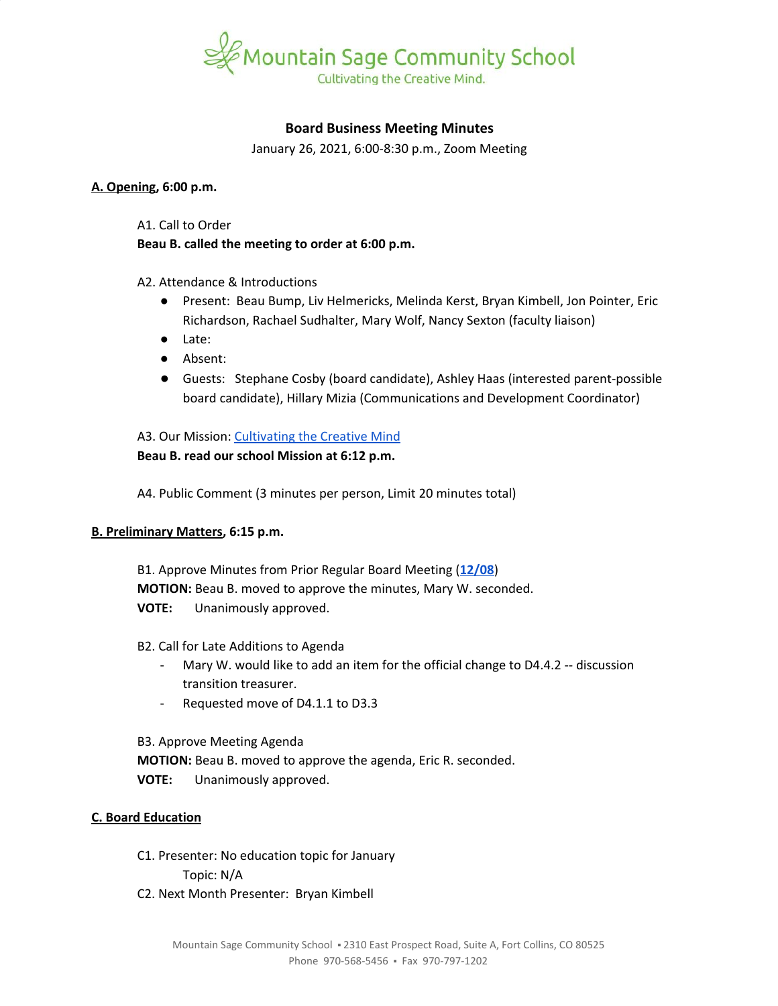

## **Board Business Meeting Minutes**

January 26, 2021, 6:00-8:30 p.m., Zoom Meeting

#### **A. Opening, 6:00 p.m.**

A1. Call to Order

**Beau B. called the meeting to order at 6:00 p.m.**

#### A2. Attendance & Introductions

- Present: Beau Bump, Liv Helmericks, Melinda Kerst, Bryan Kimbell, Jon Pointer, Eric Richardson, Rachael Sudhalter, Mary Wolf, Nancy Sexton (faculty liaison)
- Late:
- Absent:
- Guests: Stephane Cosby (board candidate), Ashley Haas (interested parent-possible board candidate), Hillary Mizia (Communications and Development Coordinator)

# A3. Our Mission: [Cultivating](https://www.mountainsage.org/about-us/mission-and-vision/) the Creative Mind

# **Beau B. read our school Mission at 6:12 p.m.**

A4. Public Comment (3 minutes per person, Limit 20 minutes total)

#### **B. Preliminary Matters, 6:15 p.m.**

B1. Approve Minutes from Prior Regular Board Meeting (**[12/08](https://docs.google.com/document/d/1CXAJbFuOrxJxL--UB8RHaHIFd5VgZ6qTc0hXilRaMBY)**) **MOTION:** Beau B. moved to approve the minutes, Mary W. seconded. **VOTE:** Unanimously approved.

#### B2. Call for Late Additions to Agenda

- Mary W. would like to add an item for the official change to D4.4.2 -- discussion transition treasurer.
- Requested move of D4.1.1 to D3.3

B3. Approve Meeting Agenda **MOTION:** Beau B. moved to approve the agenda, Eric R. seconded. **VOTE:** Unanimously approved.

#### **C. Board Education**

C1. Presenter: No education topic for January Topic: N/A C2. Next Month Presenter: Bryan Kimbell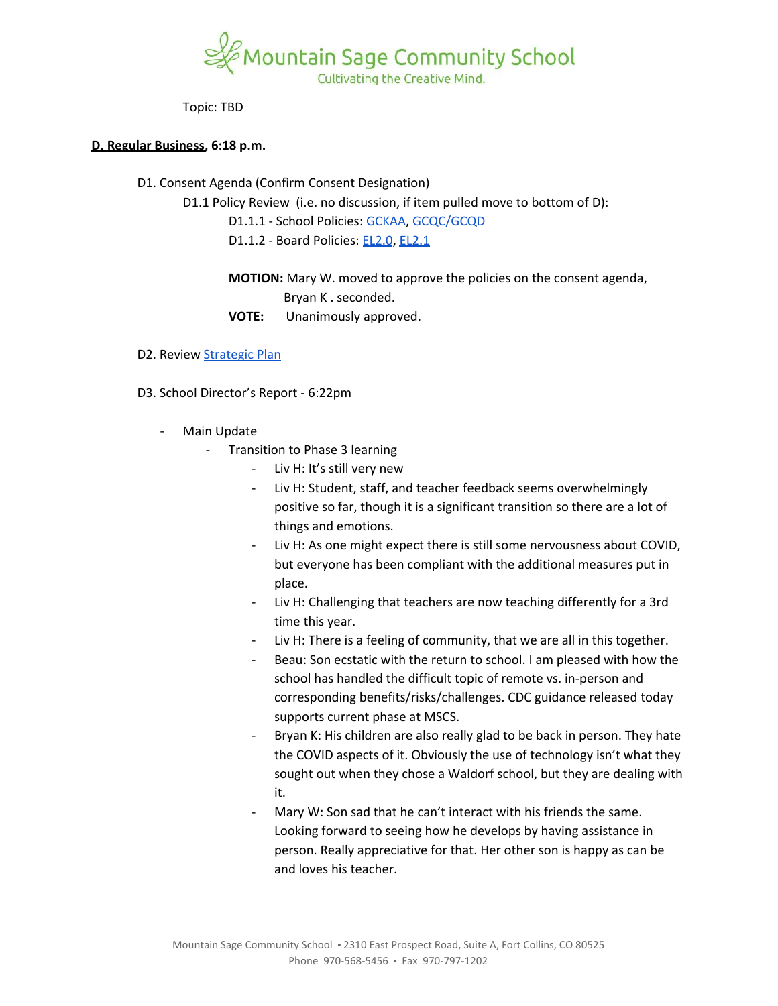

Topic: TBD

#### **D. Regular Business, 6:18 p.m.**

D1. Consent Agenda (Confirm Consent Designation)

D1.1 Policy Review (i.e. no discussion, if item pulled move to bottom of D):

- D1.1.1 School Policies: [GCKAA,](https://docs.google.com/document/d/1Merv1El9rhyfwYMXGs8uSGLrXBBh4bO79vgPTclIKW4) [GCQC/GCQD](https://docs.google.com/document/d/1D6Iny5P4TJOC1MrB8k0ZQvLsrddkCSKXYFmPRUw2HMo/edit)
- D1.1.2 Board Policies: [EL2.0](https://docs.google.com/document/d/1c0o8Bnu1HYiTBbFgIwpmzyxhRvPehIWJNSWBV5DKs9g), [EL2.1](https://docs.google.com/document/d/1w25gIwhGuojg0LtinVdvX2LcxLWfwRN4pTFPHZ3NNXc)
- **MOTION:** Mary W. moved to approve the policies on the consent agenda, Bryan K . seconded.
- **VOTE:** Unanimously approved.
- D2. Review [Strategic](https://docs.google.com/spreadsheets/d/1ZcsDhIjaJBoVOI2OMPaYkghgZi_yR7rn31ELgbvqf3E/view) Plan
- D3. School Director's Report 6:22pm
	- Main Update
		- Transition to Phase 3 learning
			- Liv H: It's still very new
			- Liv H: Student, staff, and teacher feedback seems overwhelmingly positive so far, though it is a significant transition so there are a lot of things and emotions.
			- Liv H: As one might expect there is still some nervousness about COVID, but everyone has been compliant with the additional measures put in place.
			- Liv H: Challenging that teachers are now teaching differently for a 3rd time this year.
			- Liv H: There is a feeling of community, that we are all in this together.
			- Beau: Son ecstatic with the return to school. I am pleased with how the school has handled the difficult topic of remote vs. in-person and corresponding benefits/risks/challenges. CDC guidance released today supports current phase at MSCS.
			- Bryan K: His children are also really glad to be back in person. They hate the COVID aspects of it. Obviously the use of technology isn't what they sought out when they chose a Waldorf school, but they are dealing with it.
			- Mary W: Son sad that he can't interact with his friends the same. Looking forward to seeing how he develops by having assistance in person. Really appreciative for that. Her other son is happy as can be and loves his teacher.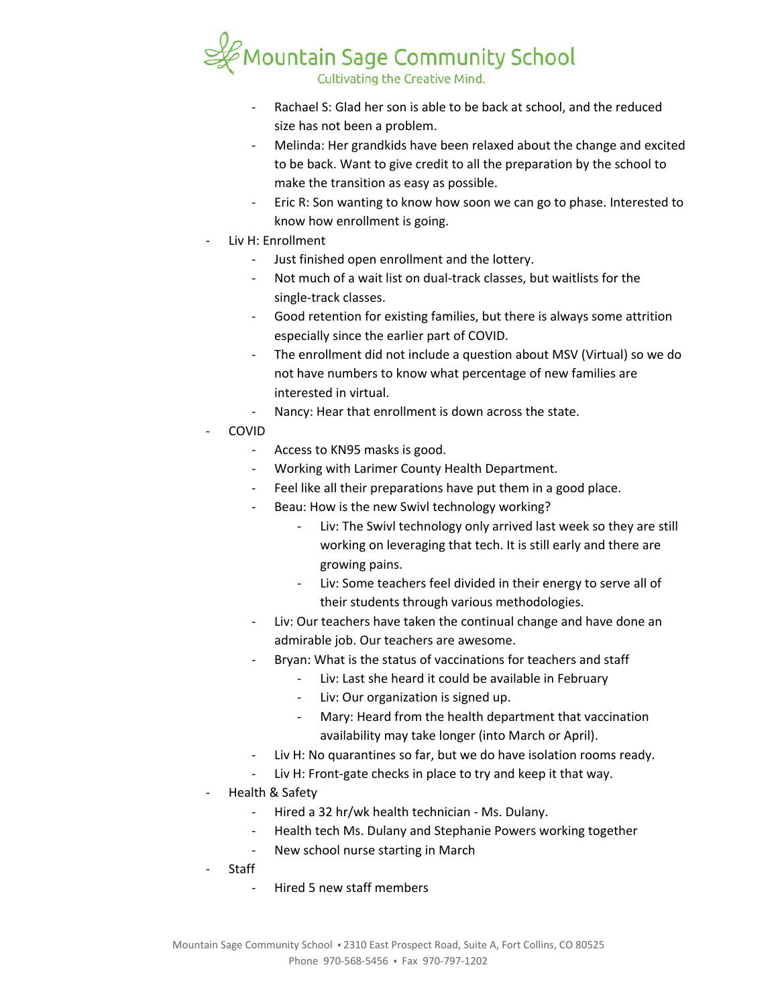

- Rachael S: Glad her son is able to be back at school, and the reduced size has not been a problem.
- Melinda: Her grandkids have been relaxed about the change and excited to be back. Want to give credit to all the preparation by the school to make the transition as easy as possible.
- Eric R: Son wanting to know how soon we can go to phase. Interested to know how enrollment is going.
- Liv H: Enrollment
	- Just finished open enrollment and the lottery.
	- Not much of a wait list on dual-track classes, but waitlists for the single-track classes.
	- Good retention for existing families, but there is always some attrition especially since the earlier part of COVID.
	- The enrollment did not include a question about MSV (Virtual) so we do not have numbers to know what percentage of new families are interested in virtual.
	- Nancy: Hear that enrollment is down across the state.
- COVID
	- Access to KN95 masks is good.
	- Working with Larimer County Health Department.
	- Feel like all their preparations have put them in a good place.
	- Beau: How is the new Swivl technology working?
		- Liv: The Swivl technology only arrived last week so they are still working on leveraging that tech. It is still early and there are growing pains.
		- Liv: Some teachers feel divided in their energy to serve all of their students through various methodologies.
	- Liv: Our teachers have taken the continual change and have done an admirable job. Our teachers are awesome.
	- Bryan: What is the status of vaccinations for teachers and staff
		- Liv: Last she heard it could be available in February
		- Liv: Our organization is signed up.
		- Mary: Heard from the health department that vaccination availability may take longer (into March or April).
	- Liv H: No quarantines so far, but we do have isolation rooms ready.
	- Liv H: Front-gate checks in place to try and keep it that way.
- Health & Safety
	- Hired a 32 hr/wk health technician Ms. Dulany.
	- Health tech Ms. Dulany and Stephanie Powers working together
	- New school nurse starting in March
- Staff
	- Hired 5 new staff members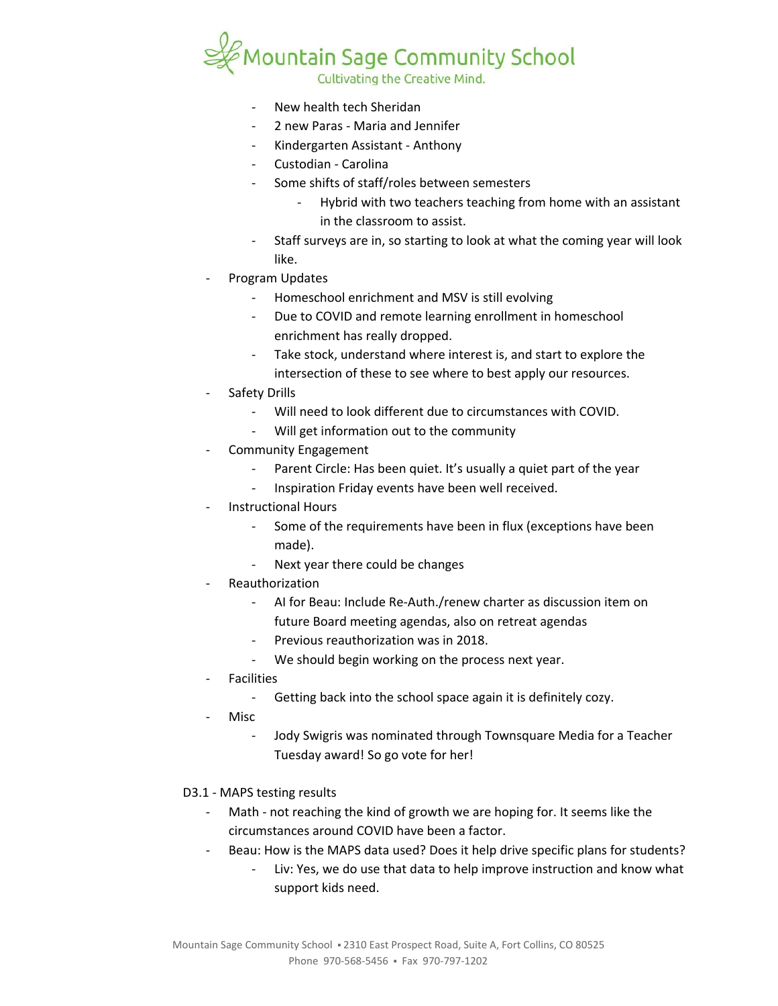

- New health tech Sheridan
- 2 new Paras Maria and Jennifer
- Kindergarten Assistant Anthony
- Custodian Carolina
- Some shifts of staff/roles between semesters
	- Hybrid with two teachers teaching from home with an assistant in the classroom to assist.
- Staff surveys are in, so starting to look at what the coming year will look like.
- Program Updates
	- Homeschool enrichment and MSV is still evolving
	- Due to COVID and remote learning enrollment in homeschool enrichment has really dropped.
	- Take stock, understand where interest is, and start to explore the intersection of these to see where to best apply our resources.
- Safety Drills
	- Will need to look different due to circumstances with COVID.
	- Will get information out to the community
- Community Engagement
	- Parent Circle: Has been quiet. It's usually a quiet part of the year
	- Inspiration Friday events have been well received.
- Instructional Hours
	- Some of the requirements have been in flux (exceptions have been made).
	- Next year there could be changes
- **Reauthorization** 
	- AI for Beau: Include Re-Auth./renew charter as discussion item on future Board meeting agendas, also on retreat agendas
	- Previous reauthorization was in 2018.
	- We should begin working on the process next year.
- **Facilities** 
	- Getting back into the school space again it is definitely cozy.
- Misc
	- Jody Swigris was nominated through Townsquare Media for a Teacher Tuesday award! So go vote for her!
- D3.1 MAPS testing results
	- Math not reaching the kind of growth we are hoping for. It seems like the circumstances around COVID have been a factor.
	- Beau: How is the MAPS data used? Does it help drive specific plans for students?
		- Liv: Yes, we do use that data to help improve instruction and know what support kids need.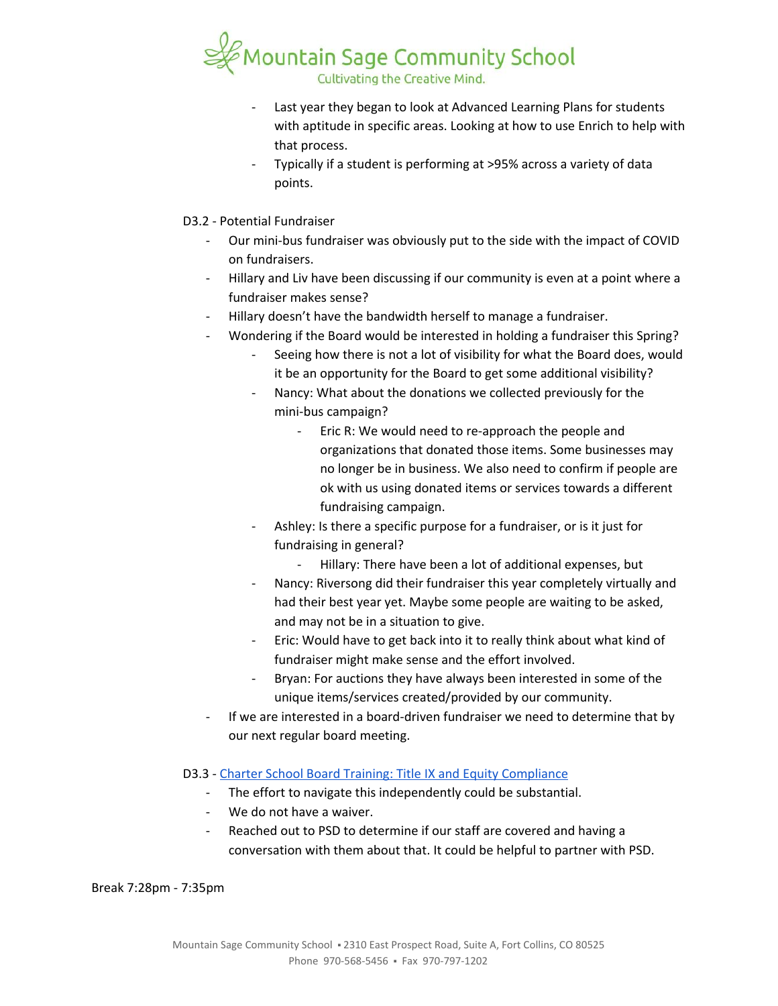

- Last year they began to look at Advanced Learning Plans for students with aptitude in specific areas. Looking at how to use Enrich to help with that process.
- Typically if a student is performing at >95% across a variety of data points.
- D3.2 Potential Fundraiser
	- Our mini-bus fundraiser was obviously put to the side with the impact of COVID on fundraisers.
	- Hillary and Liv have been discussing if our community is even at a point where a fundraiser makes sense?
	- Hillary doesn't have the bandwidth herself to manage a fundraiser.
	- Wondering if the Board would be interested in holding a fundraiser this Spring?
		- Seeing how there is not a lot of visibility for what the Board does, would it be an opportunity for the Board to get some additional visibility?
		- Nancy: What about the donations we collected previously for the mini-bus campaign?
			- Eric R: We would need to re-approach the people and organizations that donated those items. Some businesses may no longer be in business. We also need to confirm if people are ok with us using donated items or services towards a different fundraising campaign.
		- Ashley: Is there a specific purpose for a fundraiser, or is it just for fundraising in general?
			- Hillary: There have been a lot of additional expenses, but
		- Nancy: Riversong did their fundraiser this year completely virtually and had their best year yet. Maybe some people are waiting to be asked, and may not be in a situation to give.
		- Eric: Would have to get back into it to really think about what kind of fundraiser might make sense and the effort involved.
		- Bryan: For auctions they have always been interested in some of the unique items/services created/provided by our community.
	- If we are interested in a board-driven fundraiser we need to determine that by our next regular board meeting.

# D3.3 - Charter School Board Training: Title IX and Equity [Compliance](https://coloradoleague.org/events/EventDetails.aspx?id=1456548&group=)

- The effort to navigate this independently could be substantial.
- We do not have a waiver.
- Reached out to PSD to determine if our staff are covered and having a conversation with them about that. It could be helpful to partner with PSD.

Break 7:28pm - 7:35pm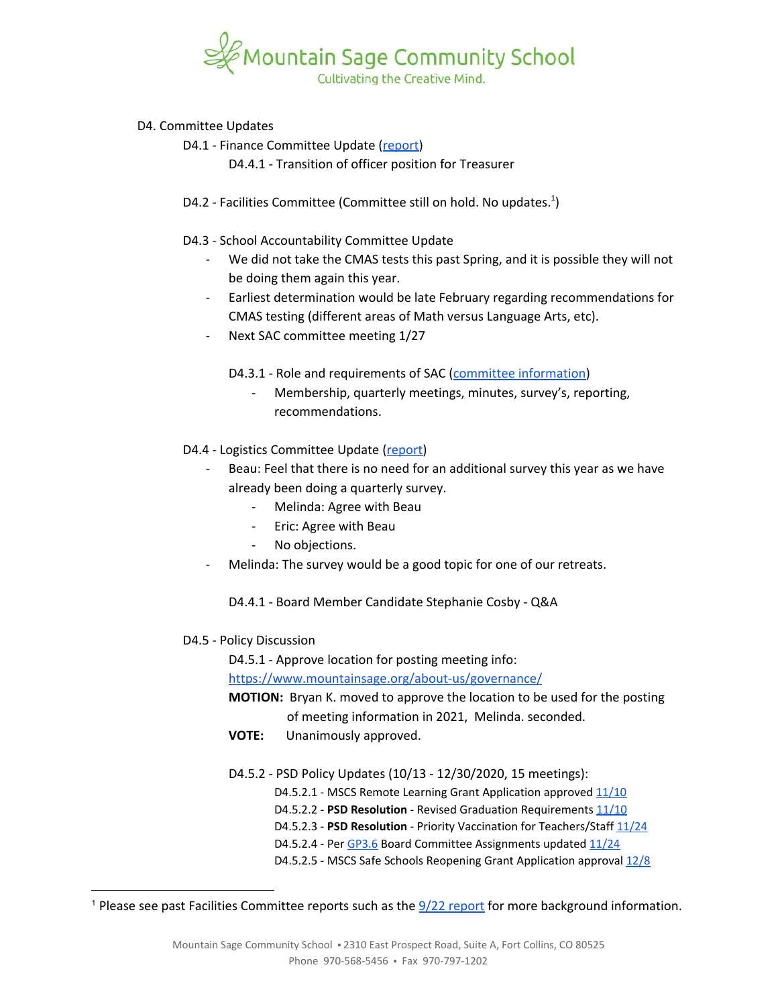

#### D4. Committee Updates

- D4.1 Finance Committee Update ([report\)](https://docs.google.com/document/d/1YbOHV97W7w-e7jcmfeCuCcPEQ3O1hOGawXdcEvRq2qI/edit?usp=sharing)
	- D4.4.1 Transition of officer position for Treasurer
- D4.2 Facilities Committee (Committee still on hold. No updates.<sup>1</sup>)
- D4.3 School Accountability Committee Update
	- We did not take the CMAS tests this past Spring, and it is possible they will not be doing them again this year.
	- Earliest determination would be late February regarding recommendations for CMAS testing (different areas of Math versus Language Arts, etc).
	- Next SAC committee meeting 1/27

D4.3.1 - Role and requirements of SAC (committee [information](https://docs.google.com/document/d/1XPiPPTSAor0w8JvfkBDLc8u17RggByMYB7QxpYnS2C0))

- Membership, quarterly meetings, minutes, survey's, reporting, recommendations.
- D4.4 Logistics Committee Update [\(report\)](https://docs.google.com/document/d/1B1Gm8Gb3dlSxrRFFSD8fTZ2Wx3dbzedSeDZzYLCTwoM)
	- Beau: Feel that there is no need for an additional survey this year as we have already been doing a quarterly survey.
		- Melinda: Agree with Beau
		- Eric: Agree with Beau
		- No objections.
	- Melinda: The survey would be a good topic for one of our retreats.
		- D4.4.1 Board Member Candidate Stephanie Cosby Q&A
- D4.5 Policy Discussion
	- D4.5.1 Approve location for posting meeting info:

<https://www.mountainsage.org/about-us/governance/>

- **MOTION:** Bryan K. moved to approve the location to be used for the posting of meeting information in 2021, Melinda. seconded.
- **VOTE:** Unanimously approved.
- D4.5.2 PSD Policy Updates (10/13 12/30/2020, 15 meetings):
	- D4.5.2.1 MSCS Remote Learning Grant Application approved [11/10](https://www.psdschools.org/sites/default/files/PSD/board_education/BOE%20Meeting%20Minutes/2020-21%20Meeting%20Minutes/11.10.20%20Meeting%20minutes%20-%20FINAL.pdf)
	- D4.5.2.2 PSD Resolution Revised Graduation Requirements [11/10](https://www.psdschools.org/sites/default/files/PSD/board_education/BOE%20Meeting%20Minutes/2020-21%20Meeting%20Minutes/11.10.20%20Meeting%20minutes%20-%20FINAL.pdf)
	- D4.5.2.3 **PSD Resolution** Priority Vaccination for Teachers/Staff [11/24](http://psdschools.org/sites/default/files/PSD/board_education/BOE%20Meeting%20Minutes/2020-21%20Meeting%20Minutes/11.24.20%20Meeting%20minutes%20-%20FINAL.pdf)
	- D4.5.2.4 Per [GP3.6](https://www.psdschools.org/sites/default/files/PSD/board_education/Policies/2020-2021/GP%203.6%20incl%20Committee%20Representatives%20Nov%202020.pdf) Board Committee Assignments updated [11/24](http://psdschools.org/sites/default/files/PSD/board_education/BOE%20Meeting%20Minutes/2020-21%20Meeting%20Minutes/11.24.20%20Meeting%20minutes%20-%20FINAL.pdf)
	- D4.5.2.5 MSCS Safe Schools Reopening Grant Application approval [12/8](https://www.psdschools.org/sites/default/files/PSD/board_education/BOE%20Meeting%20Minutes/2020-21%20Meeting%20Minutes/12.8.20%20Meeting%20minutes%20-%20FINAL.pdf)

<sup>&</sup>lt;sup>1</sup> Please see past Facilities Committee [report](https://drive.google.com/file/d/1540MBFX75TZuJkqn_bNtGfqBp400VcC4/view?usp=sharing)s such as the  $\frac{9}{22}$  report for more background information.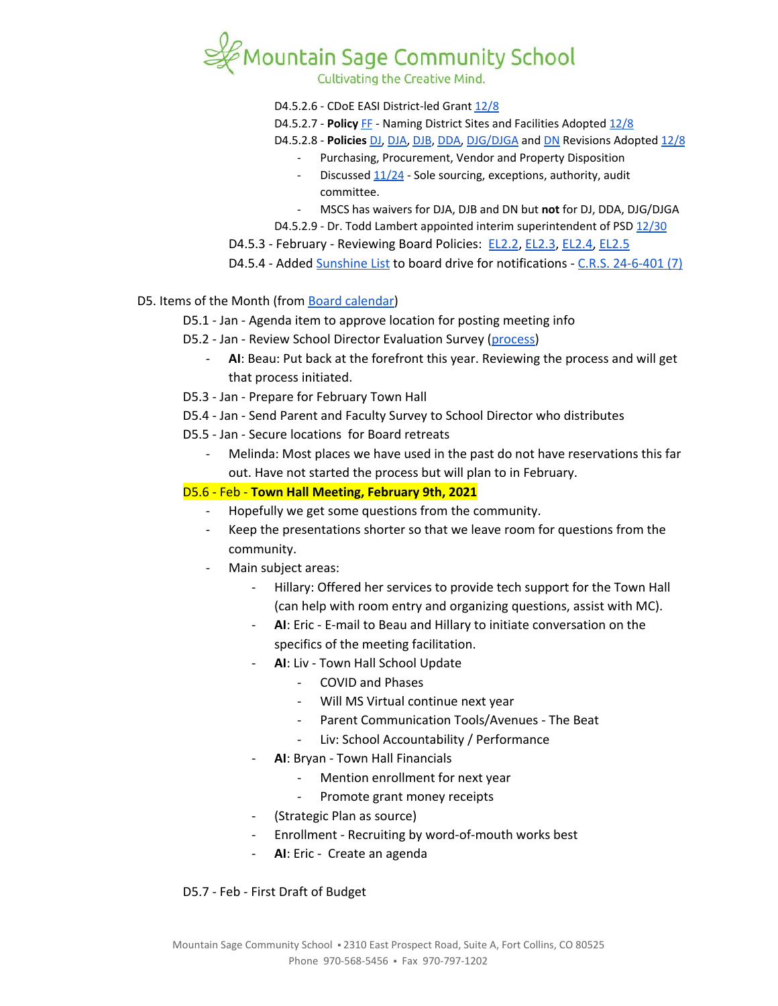

Cultivating the Creative Mind.

- D4.5.2.6 CDoE EASI District-led Grant [12/8](https://www.psdschools.org/sites/default/files/PSD/board_education/BOE%20Meeting%20Minutes/2020-21%20Meeting%20Minutes/12.8.20%20Meeting%20minutes%20-%20FINAL.pdf)
- D4.5.2.7 **Policy** [FF](https://www.psdschools.org/sites/default/files/PSD/policies/FF.pdf) Naming District Sites and Facilities Adopted [12/8](https://www.psdschools.org/sites/default/files/PSD/board_education/BOE%20Meeting%20Minutes/2020-21%20Meeting%20Minutes/12.8.20%20Meeting%20minutes%20-%20FINAL.pdf)
- D4.5.2.8 **Policies** [DJ,](https://www.psdschools.org/sites/default/files/PSD/policies/DJ.pdf) [DJA](https://www.psdschools.org/sites/default/files/PSD/policies/DJA.pdf), [DJB,](https://www.psdschools.org/sites/default/files/PSD/policies/DJB.pdf) [DDA,](https://www.psdschools.org/sites/default/files/PSD/policies/DDA.pdf) [DJG/DJGA](https://www.psdschools.org/sites/default/files/PSD/policies/DJG-DJGA.pdf) and [DN](https://www.psdschools.org/sites/default/files/PSD/policies/DN.pdf) Revisions Adopted [12/8](https://www.psdschools.org/sites/default/files/PSD/board_education/BOE%20Meeting%20Minutes/2020-21%20Meeting%20Minutes/12.8.20%20Meeting%20minutes%20-%20FINAL.pdf)
- Purchasing, Procurement, Vendor and Property Disposition
	- Discussed  $11/24$  Sole sourcing, exceptions, authority, audit committee.
- MSCS has waivers for DJA, DJB and DN but **not** for DJ, DDA, DJG/DJGA
- D4.5.2.9 Dr. Todd Lambert appointed interim superintendent of PSD [12/30](https://www.psdschools.org/sites/default/files/PSD/board_education/BOE%20Meeting%20Minutes/2020-21%20Meeting%20Minutes/12.30.20%20Special%20Meeting%20minutes%20-%20FINAL.pdf)
- D4.5.3 February Reviewing Board Policies: [EL2.2](https://docs.google.com/document/d/1MaJBbBGpBoWaL7MoXpY0wSAT9GoCbewlcDQq-BFaU3Q), [EL2.3](https://docs.google.com/document/d/1GzmBOOp5v9S4NJmlkGL0iRVuHfhg_T72zoANrVKVbLg), [EL2.4](https://docs.google.com/document/d/1QInt2oOSDx0py9EtUsP6-0-OEZQcStkMdYw-gwIO3dU), [EL2.5](https://docs.google.com/document/d/1nYs8TvRZiMJCIYsfBXl8_YG7hKr1aksmEDiekAFgNk8)
- D4.5.4 Added [Sunshine](https://docs.google.com/spreadsheets/d/1uhCY5iEKicSoct-h2R0gV1Ab8PhHoWgexJe3k7MfvbE) List to board drive for notifications C.R.S. [24-6-401](http://www.coddc.org/Documents/Colorado%20Open%20Meetings%20Law%2024-%206-401%20CRS%20%282%29.pdf) (7)

#### D5. Items of the Month (from Board [calendar](https://docs.google.com/document/d/12S6s-qevYMsnj8Cr2yw6uMO7S7hL3gz2oKvXZk5ZndQ/edit?usp=sharing))

- D5.1 Jan Agenda item to approve location for posting meeting info
- D5.2 Jan Review School Director Evaluation Survey [\(process\)](https://docs.google.com/document/d/1UdgmXYE3posfh2bNuV6KAWxQvELogqQaY_AxWWZ-ydc/edit?usp=sharing)
	- AI: Beau: Put back at the forefront this year. Reviewing the process and will get that process initiated.
- D5.3 Jan Prepare for February Town Hall
- D5.4 Jan Send Parent and Faculty Survey to School Director who distributes
- D5.5 Jan Secure locations for Board retreats
	- Melinda: Most places we have used in the past do not have reservations this far out. Have not started the process but will plan to in February.

### D5.6 - Feb - **Town Hall Meeting, February 9th, 2021**

- Hopefully we get some questions from the community.
- Keep the presentations shorter so that we leave room for questions from the community.
- Main subject areas:
	- Hillary: Offered her services to provide tech support for the Town Hall (can help with room entry and organizing questions, assist with MC).
	- **AI**: Eric E-mail to Beau and Hillary to initiate conversation on the specifics of the meeting facilitation.
	- AI: Liv Town Hall School Update
		- COVID and Phases
		- Will MS Virtual continue next year
		- Parent Communication Tools/Avenues The Beat
		- Liv: School Accountability / Performance
	- **AI**: Bryan Town Hall Financials
		- Mention enrollment for next year
		- Promote grant money receipts
	- (Strategic Plan as source)
	- Enrollment Recruiting by word-of-mouth works best
	- AI: Eric Create an agenda

#### D5.7 - Feb - First Draft of Budget